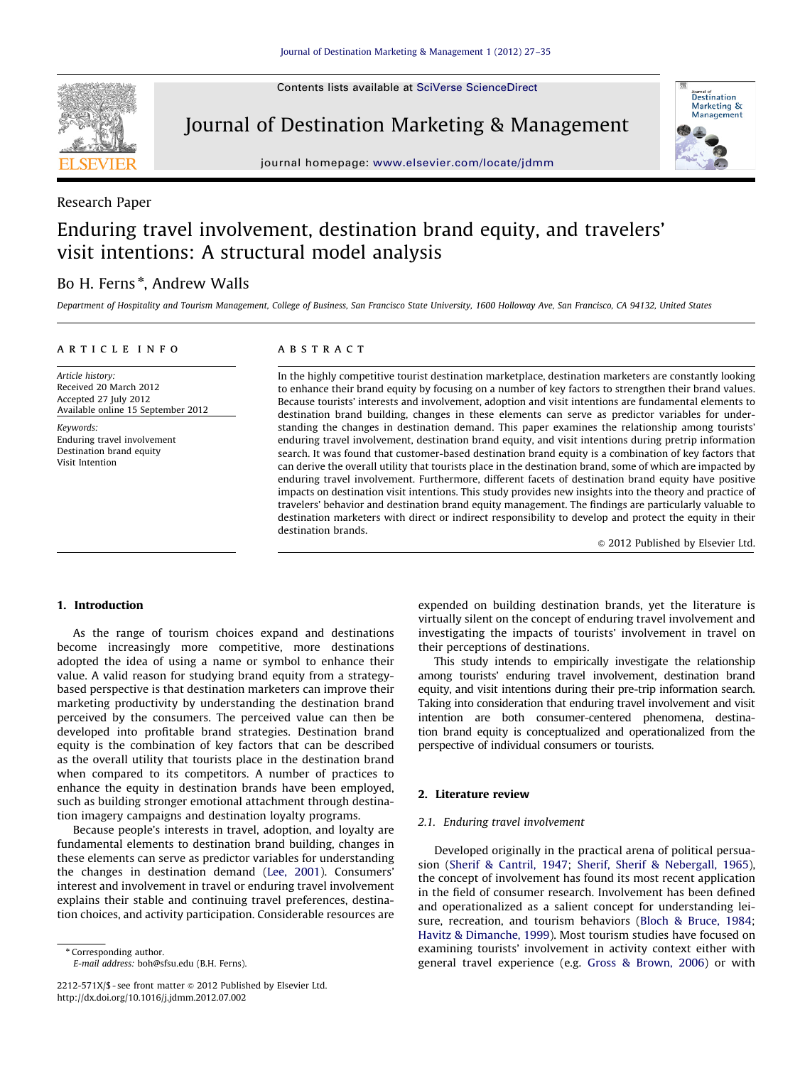**SEVIER** 

Contents lists available at [SciVerse ScienceDirect](www.elsevier.com/locate/jdmm)

Journal of Destination Marketing & Management



journal homepage: <www.elsevier.com/locate/jdmm>

### Research Paper

## Enduring travel involvement, destination brand equity, and travelers' visit intentions: A structural model analysis

### Bo H. Ferns<sup>\*</sup>, Andrew Walls

Department of Hospitality and Tourism Management, College of Business, San Francisco State University, 1600 Holloway Ave, San Francisco, CA 94132, United States

#### article info

Article history: Received 20 March 2012 Accepted 27 July 2012 Available online 15 September 2012

Keywords: Enduring travel involvement Destination brand equity Visit Intention

#### ABSTRACT

In the highly competitive tourist destination marketplace, destination marketers are constantly looking to enhance their brand equity by focusing on a number of key factors to strengthen their brand values. Because tourists' interests and involvement, adoption and visit intentions are fundamental elements to destination brand building, changes in these elements can serve as predictor variables for understanding the changes in destination demand. This paper examines the relationship among tourists' enduring travel involvement, destination brand equity, and visit intentions during pretrip information search. It was found that customer-based destination brand equity is a combination of key factors that can derive the overall utility that tourists place in the destination brand, some of which are impacted by enduring travel involvement. Furthermore, different facets of destination brand equity have positive impacts on destination visit intentions. This study provides new insights into the theory and practice of travelers' behavior and destination brand equity management. The findings are particularly valuable to destination marketers with direct or indirect responsibility to develop and protect the equity in their destination brands.

 $@$  2012 Published by Elsevier Ltd.

#### 1. Introduction

As the range of tourism choices expand and destinations become increasingly more competitive, more destinations adopted the idea of using a name or symbol to enhance their value. A valid reason for studying brand equity from a strategybased perspective is that destination marketers can improve their marketing productivity by understanding the destination brand perceived by the consumers. The perceived value can then be developed into profitable brand strategies. Destination brand equity is the combination of key factors that can be described as the overall utility that tourists place in the destination brand when compared to its competitors. A number of practices to enhance the equity in destination brands have been employed, such as building stronger emotional attachment through destination imagery campaigns and destination loyalty programs.

Because people's interests in travel, adoption, and loyalty are fundamental elements to destination brand building, changes in these elements can serve as predictor variables for understanding the changes in destination demand [\(Lee, 2001\)](#page--1-0). Consumers' interest and involvement in travel or enduring travel involvement explains their stable and continuing travel preferences, destination choices, and activity participation. Considerable resources are

\* Corresponding author. E-mail address: [boh@sfsu.edu \(B.H. Ferns\)](mailto:boh@sfsu.edu). expended on building destination brands, yet the literature is virtually silent on the concept of enduring travel involvement and investigating the impacts of tourists' involvement in travel on their perceptions of destinations.

This study intends to empirically investigate the relationship among tourists' enduring travel involvement, destination brand equity, and visit intentions during their pre-trip information search. Taking into consideration that enduring travel involvement and visit intention are both consumer-centered phenomena, destination brand equity is conceptualized and operationalized from the perspective of individual consumers or tourists.

#### 2. Literature review

#### 2.1. Enduring travel involvement

Developed originally in the practical arena of political persuasion ([Sherif](#page--1-0) [& Cantril, 1947;](#page--1-0) [Sherif, Sherif](#page--1-0) [& Nebergall, 1965\)](#page--1-0), the concept of involvement has found its most recent application in the field of consumer research. Involvement has been defined and operationalized as a salient concept for understanding leisure, recreation, and tourism behaviors ([Bloch](#page--1-0) [& Bruce, 1984;](#page--1-0) [Havitz & Dimanche, 1999](#page--1-0)). Most tourism studies have focused on examining tourists' involvement in activity context either with general travel experience (e.g. [Gross & Brown, 2006\)](#page--1-0) or with

<sup>2212-571</sup>X/\$ - see front matter @ 2012 Published by Elsevier Ltd. [http://dx.doi.org/10.1016/j.jdmm.2012.07.002](dx.doi.org/10.1016/j.jdmm.2012.07.002)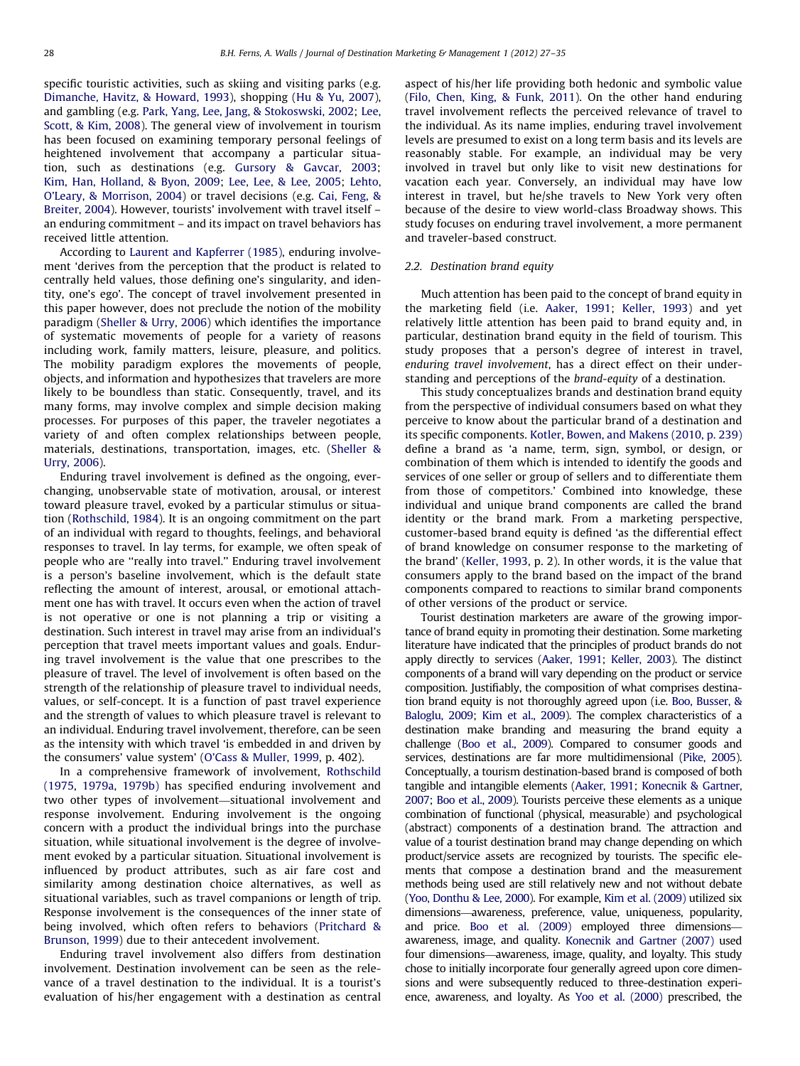specific touristic activities, such as skiing and visiting parks (e.g. [Dimanche, Havitz, & Howard, 1993\)](#page--1-0), shopping ([Hu](#page--1-0) [& Yu, 2007\)](#page--1-0), and gambling (e.g. [Park, Yang, Lee, Jang, & Stokoswski, 2002;](#page--1-0) [Lee,](#page--1-0) [Scott, & Kim, 2008\)](#page--1-0). The general view of involvement in tourism has been focused on examining temporary personal feelings of heightened involvement that accompany a particular situation, such as destinations (e.g. [Gursory & Gavcar, 2003;](#page--1-0) [Kim, Han, Holland, & Byon, 2009;](#page--1-0) [Lee, Lee,](#page--1-0) & [Lee, 2005](#page--1-0); [Lehto,](#page--1-0) [O'Leary, & Morrison, 2004](#page--1-0)) or travel decisions (e.g. [Cai, Feng, &](#page--1-0) [Breiter, 2004](#page--1-0)). However, tourists' involvement with travel itself – an enduring commitment – and its impact on travel behaviors has received little attention.

According to [Laurent and Kapferrer \(1985\)](#page--1-0), enduring involvement 'derives from the perception that the product is related to centrally held values, those defining one's singularity, and identity, one's ego'. The concept of travel involvement presented in this paper however, does not preclude the notion of the mobility paradigm [\(Sheller](#page--1-0) [& Urry, 2006](#page--1-0)) which identifies the importance of systematic movements of people for a variety of reasons including work, family matters, leisure, pleasure, and politics. The mobility paradigm explores the movements of people, objects, and information and hypothesizes that travelers are more likely to be boundless than static. Consequently, travel, and its many forms, may involve complex and simple decision making processes. For purposes of this paper, the traveler negotiates a variety of and often complex relationships between people, materials, destinations, transportation, images, etc. ([Sheller &](#page--1-0) [Urry, 2006\)](#page--1-0).

Enduring travel involvement is defined as the ongoing, everchanging, unobservable state of motivation, arousal, or interest toward pleasure travel, evoked by a particular stimulus or situation ([Rothschild, 1984](#page--1-0)). It is an ongoing commitment on the part of an individual with regard to thoughts, feelings, and behavioral responses to travel. In lay terms, for example, we often speak of people who are ''really into travel.'' Enduring travel involvement is a person's baseline involvement, which is the default state reflecting the amount of interest, arousal, or emotional attachment one has with travel. It occurs even when the action of travel is not operative or one is not planning a trip or visiting a destination. Such interest in travel may arise from an individual's perception that travel meets important values and goals. Enduring travel involvement is the value that one prescribes to the pleasure of travel. The level of involvement is often based on the strength of the relationship of pleasure travel to individual needs, values, or self-concept. It is a function of past travel experience and the strength of values to which pleasure travel is relevant to an individual. Enduring travel involvement, therefore, can be seen as the intensity with which travel 'is embedded in and driven by the consumers' value system' [\(O'Cass & Muller, 1999,](#page--1-0) p. 402).

In a comprehensive framework of involvement, [Rothschild](#page--1-0) [\(1975](#page--1-0), [1979a,](#page--1-0) [1979b\)](#page--1-0) has specified enduring involvement and two other types of involvement—situational involvement and response involvement. Enduring involvement is the ongoing concern with a product the individual brings into the purchase situation, while situational involvement is the degree of involvement evoked by a particular situation. Situational involvement is influenced by product attributes, such as air fare cost and similarity among destination choice alternatives, as well as situational variables, such as travel companions or length of trip. Response involvement is the consequences of the inner state of being involved, which often refers to behaviors ([Pritchard &](#page--1-0) [Brunson, 1999](#page--1-0)) due to their antecedent involvement.

Enduring travel involvement also differs from destination involvement. Destination involvement can be seen as the relevance of a travel destination to the individual. It is a tourist's evaluation of his/her engagement with a destination as central aspect of his/her life providing both hedonic and symbolic value ([Filo, Chen, King,](#page--1-0) & [Funk, 2011](#page--1-0)). On the other hand enduring travel involvement reflects the perceived relevance of travel to the individual. As its name implies, enduring travel involvement levels are presumed to exist on a long term basis and its levels are reasonably stable. For example, an individual may be very involved in travel but only like to visit new destinations for vacation each year. Conversely, an individual may have low interest in travel, but he/she travels to New York very often because of the desire to view world-class Broadway shows. This study focuses on enduring travel involvement, a more permanent and traveler-based construct.

#### 2.2. Destination brand equity

Much attention has been paid to the concept of brand equity in the marketing field (i.e. [Aaker, 1991;](#page--1-0) [Keller, 1993\)](#page--1-0) and yet relatively little attention has been paid to brand equity and, in particular, destination brand equity in the field of tourism. This study proposes that a person's degree of interest in travel, enduring travel involvement, has a direct effect on their understanding and perceptions of the brand-equity of a destination.

This study conceptualizes brands and destination brand equity from the perspective of individual consumers based on what they perceive to know about the particular brand of a destination and its specific components. [Kotler, Bowen, and Makens \(2010, p. 239\)](#page--1-0) define a brand as 'a name, term, sign, symbol, or design, or combination of them which is intended to identify the goods and services of one seller or group of sellers and to differentiate them from those of competitors.' Combined into knowledge, these individual and unique brand components are called the brand identity or the brand mark. From a marketing perspective, customer-based brand equity is defined 'as the differential effect of brand knowledge on consumer response to the marketing of the brand' ([Keller, 1993](#page--1-0), p. 2). In other words, it is the value that consumers apply to the brand based on the impact of the brand components compared to reactions to similar brand components of other versions of the product or service.

Tourist destination marketers are aware of the growing importance of brand equity in promoting their destination. Some marketing literature have indicated that the principles of product brands do not apply directly to services ([Aaker, 1991](#page--1-0); [Keller, 2003\)](#page--1-0). The distinct components of a brand will vary depending on the product or service composition. Justifiably, the composition of what comprises destination brand equity is not thoroughly agreed upon (i.e. [Boo, Busser, &](#page--1-0) [Baloglu, 2009](#page--1-0); [Kim et al., 2009\)](#page--1-0). The complex characteristics of a destination make branding and measuring the brand equity a challenge [\(Boo et al., 2009\)](#page--1-0). Compared to consumer goods and services, destinations are far more multidimensional ([Pike, 2005\)](#page--1-0). Conceptually, a tourism destination-based brand is composed of both tangible and intangible elements [\(Aaker, 1991](#page--1-0); [Konecnik](#page--1-0) [& Gartner,](#page--1-0) [2007;](#page--1-0) [Boo et al., 2009\)](#page--1-0). Tourists perceive these elements as a unique combination of functional (physical, measurable) and psychological (abstract) components of a destination brand. The attraction and value of a tourist destination brand may change depending on which product/service assets are recognized by tourists. The specific elements that compose a destination brand and the measurement methods being used are still relatively new and not without debate ([Yoo, Donthu & Lee, 2000](#page--1-0)). For example, [Kim et al. \(2009\)](#page--1-0) utilized six dimensions—awareness, preference, value, uniqueness, popularity, and price. [Boo et al. \(2009\)](#page--1-0) employed three dimensions awareness, image, and quality. [Konecnik and Gartner \(2007\)](#page--1-0) used four dimensions—awareness, image, quality, and loyalty. This study chose to initially incorporate four generally agreed upon core dimensions and were subsequently reduced to three-destination experience, awareness, and loyalty. As [Yoo et al. \(2000\)](#page--1-0) prescribed, the